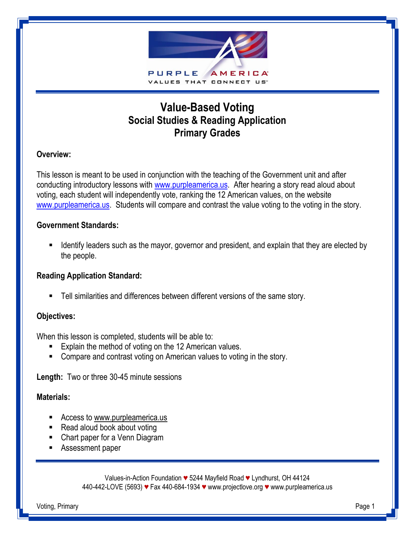

# **Value-Based Voting Social Studies & Reading Application Primary Grades**

## **Overview:**

This lesson is meant to be used in conjunction with the teaching of the Government unit and after conducting introductory lessons with [www.purpleamerica.us.](http://www.purpleamerica.us/) After hearing a story read aloud about voting, each student will independently vote, ranking the 12 American values, on the website [www.purpleamerica.us.](http://www.purpleamerica.us/) Students will compare and contrast the value voting to the voting in the story.

#### **Government Standards:**

I dentify leaders such as the mayor, governor and president, and explain that they are elected by the people.

### **Reading Application Standard:**

Tell similarities and differences between different versions of the same story.

### **Objectives:**

When this lesson is completed, students will be able to:

- **Explain the method of voting on the 12 American values.**
- Compare and contrast voting on American values to voting in the story.

**Length:** Two or three 30-45 minute sessions

#### **Materials:**

- Access to www.purpleamerica.us
- Read aloud book about voting
- Chart paper for a Venn Diagram
- Assessment paper

Values-in-Action Foundation *♥* 5244 Mayfield Road *♥* Lyndhurst, OH 44124 440-442-LOVE (5693) *♥* Fax 440-684-1934 *♥* www.projectlove.org *♥* www.purpleamerica.us

Voting, Primary Page 1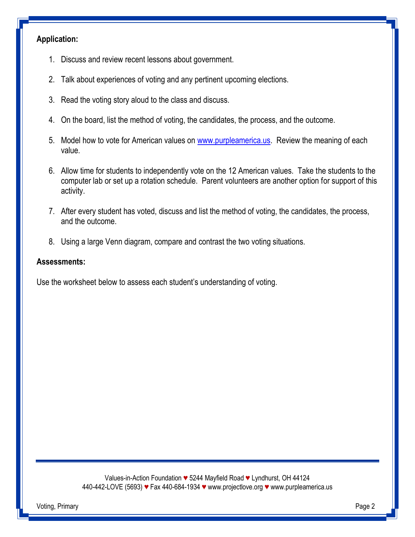# **Application:**

- 1. Discuss and review recent lessons about government.
- 2. Talk about experiences of voting and any pertinent upcoming elections.
- 3. Read the voting story aloud to the class and discuss.
- 4. On the board, list the method of voting, the candidates, the process, and the outcome.
- 5. Model how to vote for American values on [www.purpleamerica.us.](http://www.purpleamerica.us/) Review the meaning of each value.
- 6. Allow time for students to independently vote on the 12 American values. Take the students to the computer lab or set up a rotation schedule. Parent volunteers are another option for support of this activity.
- 7. After every student has voted, discuss and list the method of voting, the candidates, the process, and the outcome.
- 8. Using a large Venn diagram, compare and contrast the two voting situations.

#### **Assessments:**

Use the worksheet below to assess each student's understanding of voting.

Values-in-Action Foundation *♥* 5244 Mayfield Road *♥* Lyndhurst, OH 44124 440-442-LOVE (5693) *♥* Fax 440-684-1934 *♥* www.projectlove.org *♥* www.purpleamerica.us

Voting, Primary Page 2